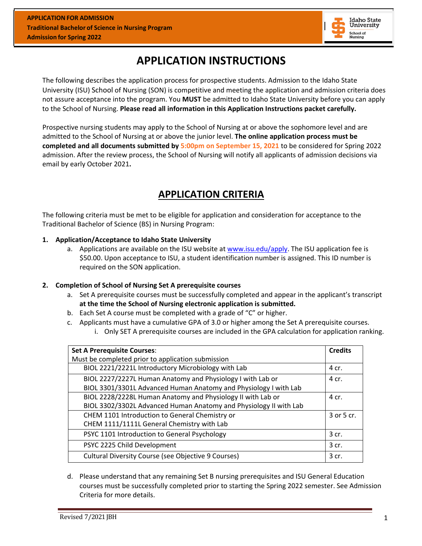

# **APPLICATION INSTRUCTIONS**

The following describes the application process for prospective students. Admission to the Idaho State University (ISU) School of Nursing (SON) is competitive and meeting the application and admission criteria does not assure acceptance into the program. You **MUST** be admitted to Idaho State University before you can apply to the School of Nursing. **Please read all information in this Application Instructions packet carefully.**

Prospective nursing students may apply to the School of Nursing at or above the sophomore level and are admitted to the School of Nursing at or above the junior level. **The online application process must be completed and all documents submitted by 5:00pm on September 15, 2021** to be considered for Spring 2022 admission. After the review process, the School of Nursing will notify all applicants of admission decisions via email by early October 2021**.**

# **APPLICATION CRITERIA**

The following criteria must be met to be eligible for application and consideration for acceptance to the Traditional Bachelor of Science (BS) in Nursing Program:

#### **1. Application/Acceptance to Idaho State University**

a. Applications are available on the ISU website at [www.isu.edu/apply.](http://www.isu.edu/apply) The ISU application fee is \$50.00. Upon acceptance to ISU, a student identification number is assigned. This ID number is required on the SON application.

#### **2. Completion of School of Nursing Set A prerequisite courses**

- a. Set A prerequisite courses must be successfully completed and appear in the applicant's transcript **at the time the School of Nursing electronic application is submitted.**
- b. Each Set A course must be completed with a grade of "C" or higher.
- c. Applicants must have a cumulative GPA of 3.0 or higher among the Set A prerequisite courses.
	- i. Only SET A prerequisite courses are included in the GPA calculation for application ranking.

| <b>Set A Prerequisite Courses:</b>                                | <b>Credits</b> |
|-------------------------------------------------------------------|----------------|
| Must be completed prior to application submission                 |                |
| BIOL 2221/2221L Introductory Microbiology with Lab                | 4 cr.          |
| BIOL 2227/2227L Human Anatomy and Physiology I with Lab or        | 4 cr.          |
| BIOL 3301/3301L Advanced Human Anatomy and Physiology I with Lab  |                |
| BIOL 2228/2228L Human Anatomy and Physiology II with Lab or       | 4 cr.          |
| BIOL 3302/3302L Advanced Human Anatomy and Physiology II with Lab |                |
| CHEM 1101 Introduction to General Chemistry or                    | 3 or 5 cr.     |
| CHEM 1111/1111L General Chemistry with Lab                        |                |
| PSYC 1101 Introduction to General Psychology                      | 3 cr.          |
| PSYC 2225 Child Development                                       | 3 cr.          |
| Cultural Diversity Course (see Objective 9 Courses)               | 3 cr.          |

d. Please understand that any remaining Set B nursing prerequisites and ISU General Education courses must be successfully completed prior to starting the Spring 2022 semester. See Admission Criteria for more details.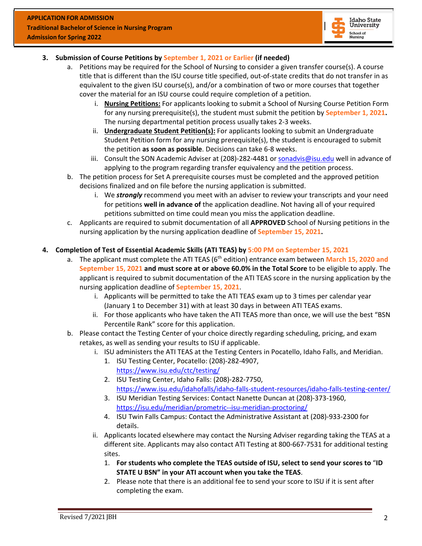

#### **3. Submission of Course Petitions by September 1, 2021 or Earlier (if needed)**

- a. Petitions may be required for the School of Nursing to consider a given transfer course(s). A course title that is different than the ISU course title specified, out-of-state credits that do not transfer in as equivalent to the given ISU course(s), and/or a combination of two or more courses that together cover the material for an ISU course could require completion of a petition.
	- i. **Nursing Petitions:** For applicants looking to submit a School of Nursing Course Petition Form for any nursing prerequisite(s), the student must submit the petition by **September 1, 2021.** The nursing departmental petition process usually takes 2-3 weeks.
	- ii. **Undergraduate Student Petition(s):** For applicants looking to submit an Undergraduate Student Petition form for any nursing prerequisite(s), the student is encouraged to submit the petition **as soon as possible**. Decisions can take 6-8 weeks.
	- iii. Consult the SON Academic Adviser at (208)-282-4481 or [sonadvis@isu.edu](mailto:conadvis@isu.edu) well in advance of applying to the program regarding transfer equivalency and the petition process.
- b. The petition process for Set A prerequisite courses must be completed and the approved petition decisions finalized and on file before the nursing application is submitted.
	- i. We *strongly* recommend you meet with an adviser to review your transcripts and your need for petitions **well in advance of** the application deadline. Not having all of your required petitions submitted on time could mean you miss the application deadline.
- c. Applicants are required to submit documentation of all **APPROVED** School of Nursing petitions in the nursing application by the nursing application deadline of **September 15, 2021.**

#### **4. Completion of Test of Essential Academic Skills (ATI TEAS) by 5:00 PM on September 15, 2021**

- a. The applicant must complete the ATI TEAS (6<sup>th</sup> edition) entrance exam between March 15, 2020 and **September 15, 2021 and must score at or above 60.0% in the Total Score** to be eligible to apply. The applicant is required to submit documentation of the ATI TEAS score in the nursing application by the nursing application deadline of **September 15, 2021**.
	- i. Applicants will be permitted to take the ATI TEAS exam up to 3 times per calendar year (January 1 to December 31) with at least 30 days in between ATI TEAS exams.
	- ii. For those applicants who have taken the ATI TEAS more than once, we will use the best "BSN Percentile Rank" score for this application.
- b. Please contact the Testing Center of your choice directly regarding scheduling, pricing, and exam retakes, as well as sending your results to ISU if applicable.
	- i. ISU administers the ATI TEAS at the Testing Centers in Pocatello, Idaho Falls, and Meridian.
		- 1. ISU Testing Center, Pocatello: (208)-282-4907, <https://www.isu.edu/ctc/testing/>
		- 2. ISU Testing Center, Idaho Falls: (208)-282-7750, <https://www.isu.edu/idahofalls/idaho-falls-student-resources/idaho-falls-testing-center/>
		- 3. ISU Meridian Testing Services: Contact Nanette Duncan at (208)-373-1960, <https://isu.edu/meridian/prometric--isu-meridian-proctoring/>
		- 4. ISU Twin Falls Campus: Contact the Administrative Assistant at (208)-933-2300 for details.
	- ii. Applicants located elsewhere may contact the Nursing Adviser regarding taking the TEAS at a different site. Applicants may also contact ATI Testing at 800-667-7531 for additional testing sites.
		- 1. **For students who complete the TEAS outside of ISU, select to send your scores to** "**ID STATE U BSN" in your ATI account when you take the TEAS**.
		- 2. Please note that there is an additional fee to send your score to ISU if it is sent after completing the exam.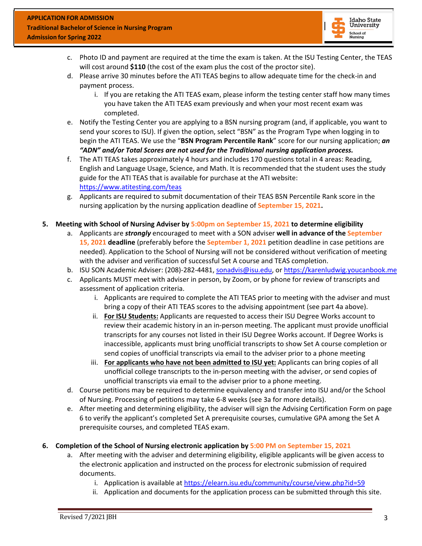

- c. Photo ID and payment are required at the time the exam is taken. At the ISU Testing Center, the TEAS will cost around **\$110** (the cost of the exam plus the cost of the proctor site).
- d. Please arrive 30 minutes before the ATI TEAS begins to allow adequate time for the check-in and payment process.
	- i. If you are retaking the ATI TEAS exam, please inform the testing center staff how many times you have taken the ATI TEAS exam previously and when your most recent exam was completed.
- e. Notify the Testing Center you are applying to a BSN nursing program (and, if applicable, you want to send your scores to ISU). If given the option, select "BSN" as the Program Type when logging in to begin the ATI TEAS. We use the "**BSN Program Percentile Rank**" score for our nursing application; *an "ADN" and/or Total Scores are not used for the Traditional nursing application process.*
- f. The ATI TEAS takes approximately 4 hours and includes 170 questions total in 4 areas: Reading, English and Language Usage, Science, and Math. It is recommended that the student uses the study guide for the ATI TEAS that is available for purchase at the ATI website: <https://www.atitesting.com/teas>
- g. Applicants are required to submit documentation of their TEAS BSN Percentile Rank score in the nursing application by the nursing application deadline of **September 15, 2021.**
- **5. Meeting with School of Nursing Adviser by 5:00pm on September 15, 2021 to determine eligibility**
	- a. Applicants are *strongly* encouraged to meet with a SON adviser **well in advance of the September 15, 2021 deadline** (preferably before the **September 1, 2021** petition deadline in case petitions are needed). Application to the School of Nursing will not be considered without verification of meeting with the adviser and verification of successful Set A course and TEAS completion.
	- b. ISU SON Academic Adviser: (208)-282-4481, [sonadvis@isu.edu,](mailto:conadvis@isu.edu) or [https://karenludwig.youcanbook.me](https://karenludwig.youcanbook.me/)
	- c. Applicants MUST meet with adviser in person, by Zoom, or by phone for review of transcripts and assessment of application criteria.
		- i. Applicants are required to complete the ATI TEAS prior to meeting with the adviser and must bring a copy of their ATI TEAS scores to the advising appointment (see part 4a above).
		- ii. **For ISU Students:** Applicants are requested to access their ISU Degree Works account to review their academic history in an in-person meeting. The applicant must provide unofficial transcripts for any courses not listed in their ISU Degree Works account. If Degree Works is inaccessible, applicants must bring unofficial transcripts to show Set A course completion or send copies of unofficial transcripts via email to the adviser prior to a phone meeting
		- iii. **For applicants who have not been admitted to ISU yet:** Applicants can bring copies of all unofficial college transcripts to the in-person meeting with the adviser, or send copies of unofficial transcripts via email to the adviser prior to a phone meeting.
	- d. Course petitions may be required to determine equivalency and transfer into ISU and/or the School of Nursing. Processing of petitions may take 6-8 weeks (see 3a for more details).
	- e. After meeting and determining eligibility, the adviser will sign the Advising Certification Form on page 6 to verify the applicant's completed Set A prerequisite courses, cumulative GPA among the Set A prerequisite courses, and completed TEAS exam.
- **6. Completion of the School of Nursing electronic application by 5:00 PM on September 15, 2021**
	- a. After meeting with the adviser and determining eligibility, eligible applicants will be given access to the electronic application and instructed on the process for electronic submission of required documents.
		- i. Application is available at<https://elearn.isu.edu/community/course/view.php?id=59>
		- ii. Application and documents for the application process can be submitted through this site.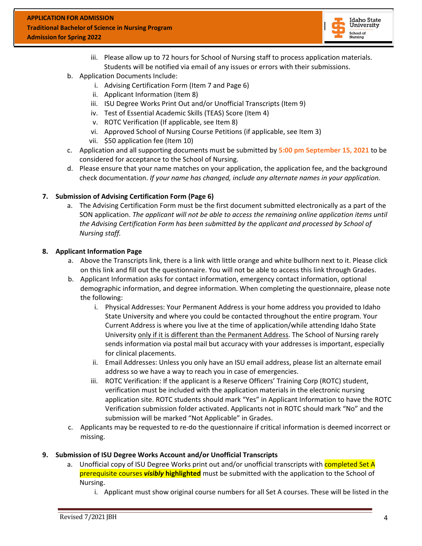

- iii. Please allow up to 72 hours for School of Nursing staff to process application materials. Students will be notified via email of any issues or errors with their submissions.
- b. Application Documents Include:
	- i. Advising Certification Form (Item 7 and Page 6)
	- ii. Applicant Information (Item 8)
	- iii. ISU Degree Works Print Out and/or Unofficial Transcripts (Item 9)
	- iv. Test of Essential Academic Skills (TEAS) Score (Item 4)
	- v. ROTC Verification (If applicable, see Item 8)
	- vi. Approved School of Nursing Course Petitions (if applicable, see Item 3)
	- vii. \$50 application fee (Item 10)
- c. Application and all supporting documents must be submitted by **5:00 pm September 15, 2021** to be considered for acceptance to the School of Nursing.
- d. Please ensure that your name matches on your application, the application fee, and the background check documentation. *If your name has changed, include any alternate names in your application.*

#### **7. Submission of Advising Certification Form (Page 6)**

a. The Advising Certification Form must be the first document submitted electronically as a part of the SON application. *The applicant will not be able to access the remaining online application items until the Advising Certification Form has been submitted by the applicant and processed by School of Nursing staff.*

#### **8. Applicant Information Page**

- a. Above the Transcripts link, there is a link with little orange and white bullhorn next to it. Please click on this link and fill out the questionnaire. You will not be able to access this link through Grades.
- b. Applicant Information asks for contact information, emergency contact information, optional demographic information, and degree information. When completing the questionnaire, please note the following:
	- i. Physical Addresses: Your Permanent Address is your home address you provided to Idaho State University and where you could be contacted throughout the entire program. Your Current Address is where you live at the time of application/while attending Idaho State University only if it is different than the Permanent Address. The School of Nursing rarely sends information via postal mail but accuracy with your addresses is important, especially for clinical placements.
	- ii. Email Addresses: Unless you only have an ISU email address, please list an alternate email address so we have a way to reach you in case of emergencies.
	- iii. ROTC Verification: If the applicant is a Reserve Officers' Training Corp (ROTC) student, verification must be included with the application materials in the electronic nursing application site. ROTC students should mark "Yes" in Applicant Information to have the ROTC Verification submission folder activated. Applicants not in ROTC should mark "No" and the submission will be marked "Not Applicable" in Grades.
- c. Applicants may be requested to re-do the questionnaire if critical information is deemed incorrect or missing.

#### **9. Submission of ISU Degree Works Account and/or Unofficial Transcripts**

- a. Unofficial copy of ISU Degree Works print out and/or unofficial transcripts with completed Set A prerequisite courses *visibly* **highlighted** must be submitted with the application to the School of Nursing.
	- i. Applicant must show original course numbers for all Set A courses. These will be listed in the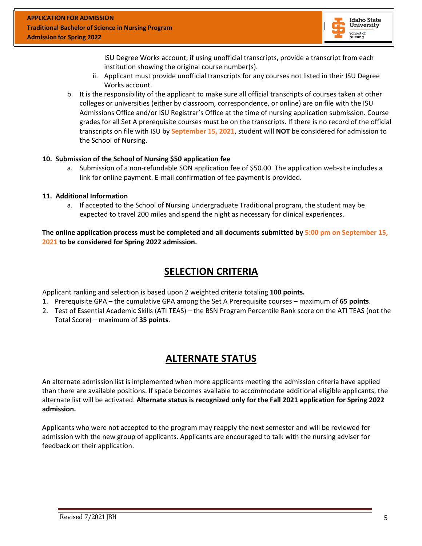

ISU Degree Works account; if using unofficial transcripts, provide a transcript from each institution showing the original course number(s).

- ii. Applicant must provide unofficial transcripts for any courses not listed in their ISU Degree Works account.
- b. It is the responsibility of the applicant to make sure all official transcripts of courses taken at other colleges or universities (either by classroom, correspondence, or online) are on file with the ISU Admissions Office and/or ISU Registrar's Office at the time of nursing application submission. Course grades for all Set A prerequisite courses must be on the transcripts. If there is no record of the official transcripts on file with ISU by **September 15, 2021**, student will **NOT** be considered for admission to the School of Nursing.

#### **10. Submission of the School of Nursing \$50 application fee**

a. Submission of a non-refundable SON application fee of \$50.00. The application web-site includes a link for online payment. E-mail confirmation of fee payment is provided.

#### **11. Additional Information**

a. If accepted to the School of Nursing Undergraduate Traditional program, the student may be expected to travel 200 miles and spend the night as necessary for clinical experiences.

**The online application process must be completed and all documents submitted by 5:00 pm on September 15, 2021 to be considered for Spring 2022 admission.**

### **SELECTION CRITERIA**

Applicant ranking and selection is based upon 2 weighted criteria totaling **100 points.**

- 1. Prerequisite GPA the cumulative GPA among the Set A Prerequisite courses maximum of **65 points**.
- 2. Test of Essential Academic Skills (ATI TEAS) the BSN Program Percentile Rank score on the ATI TEAS (not the Total Score) – maximum of **35 points**.

### **ALTERNATE STATUS**

An alternate admission list is implemented when more applicants meeting the admission criteria have applied than there are available positions. If space becomes available to accommodate additional eligible applicants, the alternate list will be activated. **Alternate status is recognized only for the Fall 2021 application for Spring 2022 admission.**

Applicants who were not accepted to the program may reapply the next semester and will be reviewed for admission with the new group of applicants. Applicants are encouraged to talk with the nursing adviser for feedback on their application.